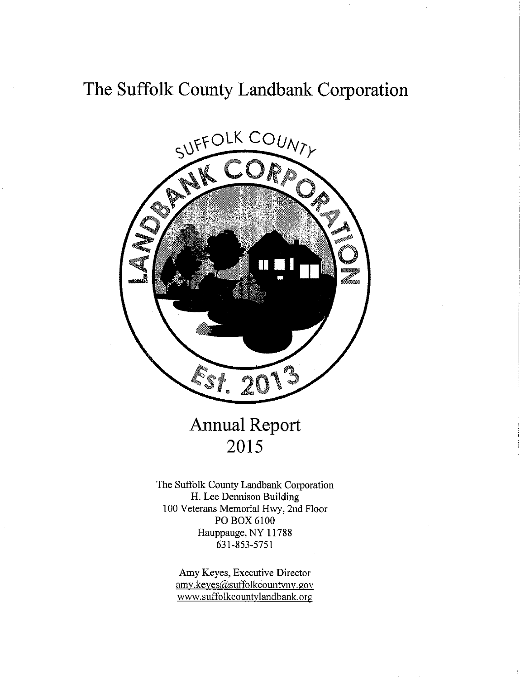# **The Suffolk County Landbank Corporation**



**Annual Report 2015** 

The Suffolk County Landbank Corporation H. Lee Dennison Building 100 Veterans Memorial Hwy, 2nd Floor POBOX6100 Hauppauge, NY 11788 631-853-5751

> Amy Keyes, Executive Director amy.keyes@suffolkcountyny.gov www.suffolkcountylandbank.org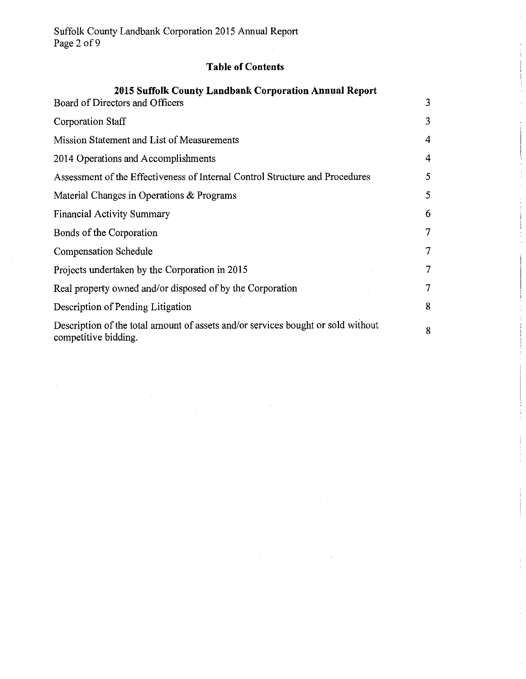### **Table of Contents**

| 2015 Suffolk County Landbank Corporation Annual Report                                                   |                |
|----------------------------------------------------------------------------------------------------------|----------------|
| Board of Directors and Officers                                                                          | 3              |
| <b>Corporation Staff</b>                                                                                 | 3              |
| Mission Statement and List of Measurements                                                               | 4              |
| 2014 Operations and Accomplishments                                                                      | 4              |
| Assessment of the Effectiveness of Internal Control Structure and Procedures                             | 5              |
| Material Changes in Operations $\&$ Programs                                                             | 5              |
| Financial Activity Summary                                                                               | 6              |
| Bonds of the Corporation                                                                                 | 7              |
| <b>Compensation Schedule</b>                                                                             | 7              |
| Projects undertaken by the Corporation in 2015                                                           | 7              |
| Real property owned and/or disposed of by the Corporation                                                | $\overline{7}$ |
| Description of Pending Litigation                                                                        | 8              |
| Description of the total amount of assets and/or services bought or sold without<br>competitive bidding. | 8              |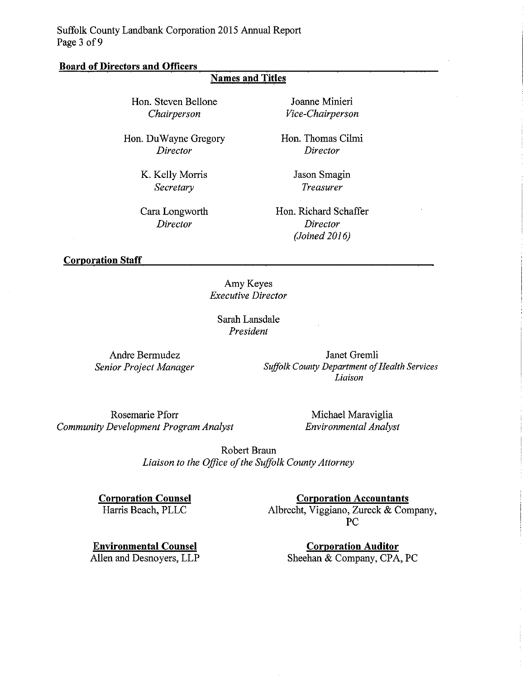Suffolk County Landbank Corporation 2015 Annual Report Page 3 of 9

#### **Board of Directors and Officers**

## **Names and Titles**

Hon. Steven Bellone *Chairperson* 

Hon. DuWayne Gregory *Director* 

> K. Kelly Morris *Secretary*

Cara Longworth *Director* 

Joanne Minieri *Vice-Chairperson* 

Hon. Thomas Cilmi *Director* 

> Jason Smagin *Treasurer*

Hon. Richard Schaffer *Director (Joined 2016)* 

#### **Corporation Staff**

Amy Keyes *Executive Director* 

Sarah Lansdale *President* 

Andre Bermudez *Senior Project Manager* 

Janet Gremli *Suffolk County Department of Health Services Liaison* 

Rosemarie Pforr *Community Development Program Analyst* 

Michael Maraviglia *Environmental Analyst* 

Robert Braun *Liaison to the Office of the Suffolk County Attorney* 

**Corporation Counsel**  Harris Beach, PLLC

**Corporation Accountants**  Albrecht, Viggiano, Zureck & Company, PC

**Environmental Counsel**  Allen and Desnoyers, LLP

**Corporation Auditor**  Sheehan & Company, CPA, PC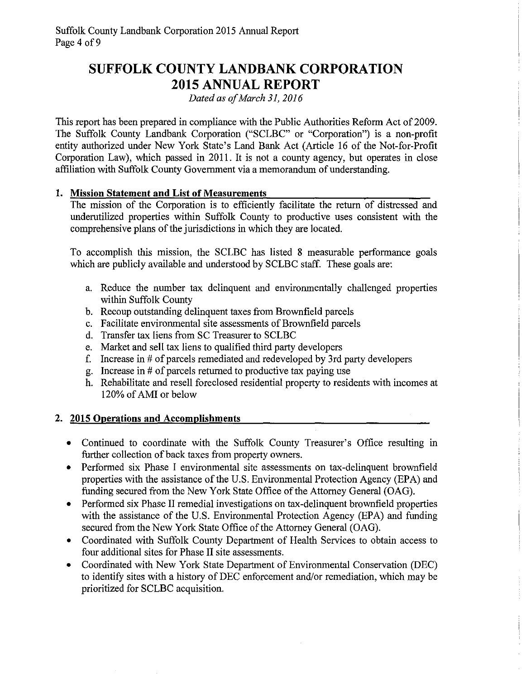# **SUFFOLK COUNTY LANDBANK CORPORATION 2015 ANNUAL REPORT**

*Dated as of March 31,2016* 

This report has been prepared in compliance with the Public Authorities Reform Act of 2009. The Suffolk County Landbank Corporation ("SCLBC" or "Corporation") is a non-profit entity authorized under New York State's Land Bank Act (Article 16 of the Not-for-Profit Corporation Law), which passed in 2011. It is not a county agency, but operates in close affiliation with Suffolk County Government via a memorandum of understanding.

### **1. Mission Statement and List of Measurements**

The mission of the Corporation is to efficiently facilitate the return of distressed and underutilized properties within Suffolk County to productive uses consistent with the comprehensive plans of the jurisdictions in which they are located.

To accomplish this mission, the SCLBC has listed 8 measurable performance goals which are publicly available and understood by SCLBC staff. These goals are:

- a. Reduce the number tax delinquent and environmentally challenged properties within Suffolk County
- b. Recoup outstanding delinquent taxes from Brownfield parcels
- c. Facilitate environmental site assessments of Brownfield parcels
- d. Transfer tax liens from SC Treasurer to SCLBC
- e. Market and sell tax liens to qualified third party developers
- f. Increase in# of parcels remediated and redeveloped by 3rd party developers
- g. Increase in # of parcels returned to productive tax paying use
- h. Rehabilitate and resell foreclosed residential property to residents with incomes at 120% of AMI or below

### **2. 2015 Operations and Accomplishments**

- Continued to coordinate with the Suffolk County Treasurer's Office resulting in further collection of back taxes from property owners.
- Performed six Phase I environmental site assessments on tax-delinquent brownfield properties with the assistance of the U.S. Environmental Protection Agency (EPA) and funding secured from the New York State Office of the Attorney General (OAG).
- Performed six Phase II remedial investigations on tax-delinquent brownfield properties with the assistance of the U.S. Environmental Protection Agency (EPA) and funding secured from the New York State Office of the Attorney General (OAG).
- Coordinated with Suffolk County Department of Health Services to obtain access to four additional sites for Phase II site assessments.
- Coordinated with New York State Department of Environmental Conservation (DEC) to identify sites with a history of DEC enforcement and/or remediation, which may be prioritized for SCLBC acquisition.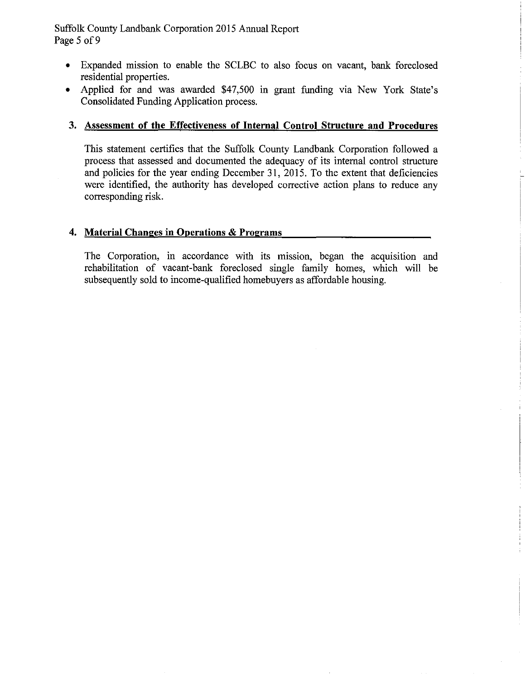Suffolk County Landbank Corporation 2015 Annual Report Page 5 of 9

- Expanded mission to enable the SCLBC to also focus on vacant, bank foreclosed residential properties.
- Applied for and was awarded \$47,500 in grant funding via New York State's Consolidated Funding Application process.

### **3. Assessment of the Effectiveness of Internal Control Structure and Procedures**

This statement certifies that the Suffolk County Landbank Corporation followed a process that assessed and documented the adequacy of its internal control structure and policies for the year ending December 31, 2015. To the extent that deficiencies were identified, the authority has developed corrective action plans to reduce any corresponding risk.

### **4. Material Changes in Operations & Programs**

The Corporation, in accordance with its mission, began the acquisition and rehabilitation of vacant-bank foreclosed single family homes, which will be subsequently sold to income-qualified homebuyers as affordable housing.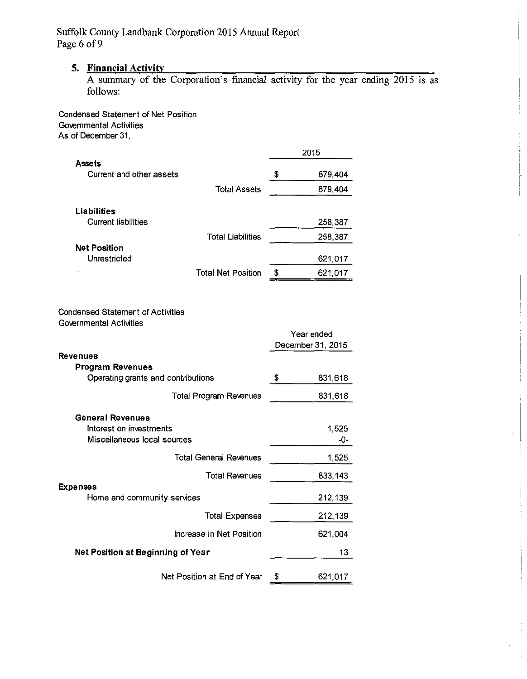Suffolk County Landbank Corporation 2015 Annual Report Page 6 of 9

# **5. Financial Activity**

A summary of the Corporation's financial activity for the year ending 2015 is as follows:

Condensed Statement of Net Position Governmental Activities As of December 31,

|                                           |                           | 2015 |         |
|-------------------------------------------|---------------------------|------|---------|
| Asse ts<br>Current and other assets       |                           | S    | 879,404 |
|                                           | <b>Total Assets</b>       |      | 879,404 |
| Liabilities<br><b>Current liabilities</b> |                           |      | 258 387 |
|                                           | <b>Total Liabilities</b>  |      | 258,387 |
| <b>Net Position</b><br>Unrestricted       |                           |      | 621,017 |
|                                           | <b>Total Net Position</b> | S    | 621,017 |

### Condensed Statement of Activities

Governmental Activities

|                                    |                          |   | Year ended        |
|------------------------------------|--------------------------|---|-------------------|
|                                    |                          |   | December 31, 2015 |
| <b>Revenues</b>                    |                          |   |                   |
| Program Revenues                   |                          |   |                   |
| Operating grants and contributions |                          | S | 831,618           |
|                                    | Total Program Revenues   |   | 831,618           |
| <b>General Revenues</b>            |                          |   |                   |
| Interest on investments            |                          |   | 1,525             |
| Miscellaneous local sources        |                          |   | -0-               |
|                                    | Total General Revenues   |   | 1.525             |
|                                    | <b>Total Revenues</b>    |   | 833, 143          |
| <b>Expenses</b>                    |                          |   |                   |
| Home and community services        |                          |   | 212.139           |
|                                    | <b>Total Expenses</b>    |   | 212,139           |
|                                    | Increase in Net Position |   | 621,004           |
| Net Position at Beginning of Year  |                          |   | 13                |
| Net Position at End of Year        |                          |   | 621,017           |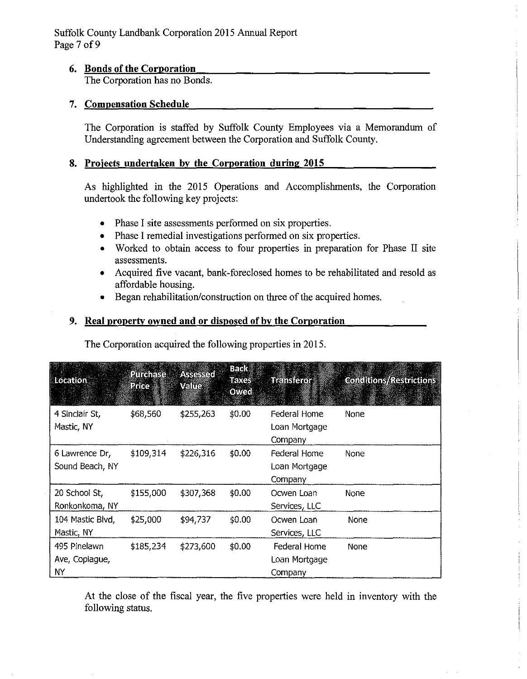### **6. Bonds of the Corporation**

The Corporation has no Bonds.

### 7. **Compensation Schedule**

The Corporation is staffed by Suffolk County Employees via a Memorandum of Understanding agreement between the Corporation and Suffolk County.

### **8. Projects undertaken by the Corporation during 2015**

As highlighted in the 2015 Operations and Accomplishments, the Corporation undertook the following key projects:

- Phase I site assessments performed on six properties.
- Phase I remedial investigations performed on six properties.
- Worked to obtain access to four properties in preparation for Phase II site assessments.
- Acquired five vacant, bank-foreclosed homes to be rehabilitated and resold as affordable housing.
- Began rehabilitation/construction on three of the acquired homes.

### **9. Real property owned and or disposed of by the Corporation**

The Corporation acquired the following properties in 2015.

| Location                     | Purchase<br><b>Price</b> | Assessed<br>Walue | <b>Back</b><br>Taxes<br><b>Owed</b> | <b>Transferont</b>            | <b>Conditions/Restrictions</b> |
|------------------------------|--------------------------|-------------------|-------------------------------------|-------------------------------|--------------------------------|
| 4 Sinclair St,<br>Mastic, NY | \$68,560                 | \$255,263         | \$0.00                              | Federal Home<br>Loan Mortgage | None                           |
|                              |                          |                   |                                     | Company                       |                                |
| 6 Lawrence Dr,               | \$109,314                | \$226,316         | \$0.00                              | Federal Home                  | None                           |
| Sound Beach, NY              |                          |                   |                                     | Loan Mortgage                 |                                |
|                              |                          |                   |                                     | Company                       |                                |
| 20 School St,                | \$155,000                | \$307,368         | \$0.00                              | Ocwen Loan                    | None                           |
| Ronkonkoma, NY               |                          |                   |                                     | Services, LLC                 |                                |
| 104 Mastic Blvd,             | \$25,000                 | \$94,737          | \$0.00                              | Ocwen Loan                    | None                           |
| Mastic, NY                   |                          |                   |                                     | Services, LLC                 |                                |
| 495 Pinelawn                 | \$185,234                | \$273,600         | \$0.00                              | Federal Home                  | <b>None</b>                    |
| Ave, Copiague,               |                          |                   |                                     | Loan Mortgage                 |                                |
| NΥ                           |                          |                   |                                     | Company                       |                                |

At the close of the fiscal year, the five properties were held in inventory with the following status.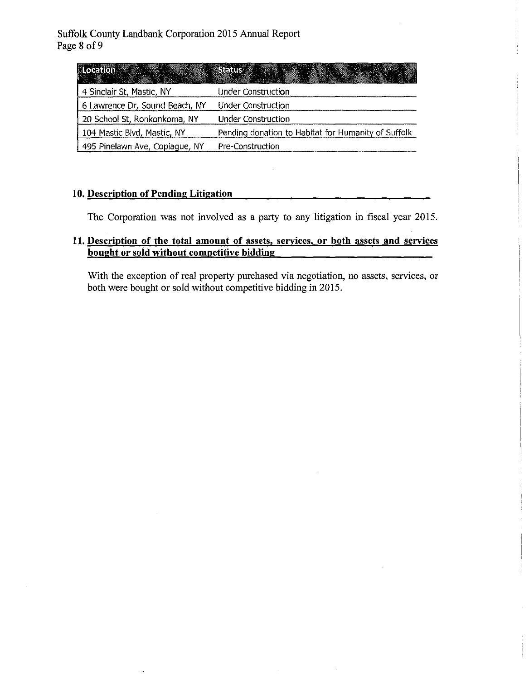| <b>Location</b>                | <b>Service Status</b>                               |
|--------------------------------|-----------------------------------------------------|
| 4 Sinclair St, Mastic, NY      | <b>Under Construction</b>                           |
| 6 Lawrence Dr, Sound Beach, NY | <b>Under Construction</b>                           |
| 20 School St, Ronkonkoma, NY   | <b>Under Construction</b>                           |
| 104 Mastic Blvd, Mastic, NY    | Pending donation to Habitat for Humanity of Suffolk |
| 495 Pinelawn Ave, Copiague, NY | Pre-Construction                                    |

### **10. Description of Pending Litigation**

The Corporation was not involved as a party to any litigation in fiscal year 2015.

### **11. Description of the total amount of** assets, services, **or both** assets **and** services **bought or sold without competitive bidding**

With the exception of real property purchased via negotiation, no assets, services, or both were bought or sold without competitive bidding in 2015.